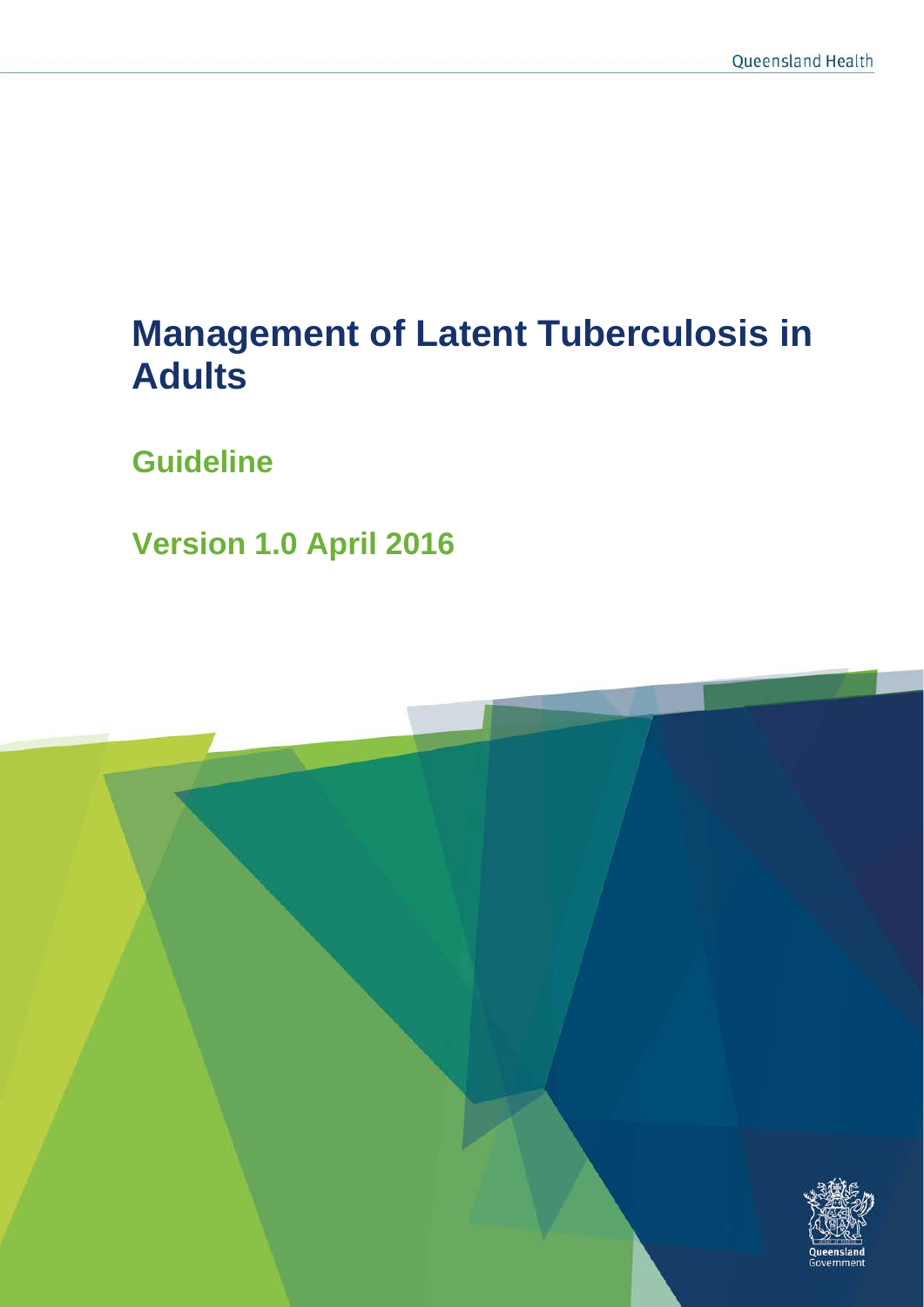# **Management of Latent Tuberculosis in Adults**

**Guideline**

**Version 1.0 April 2016**

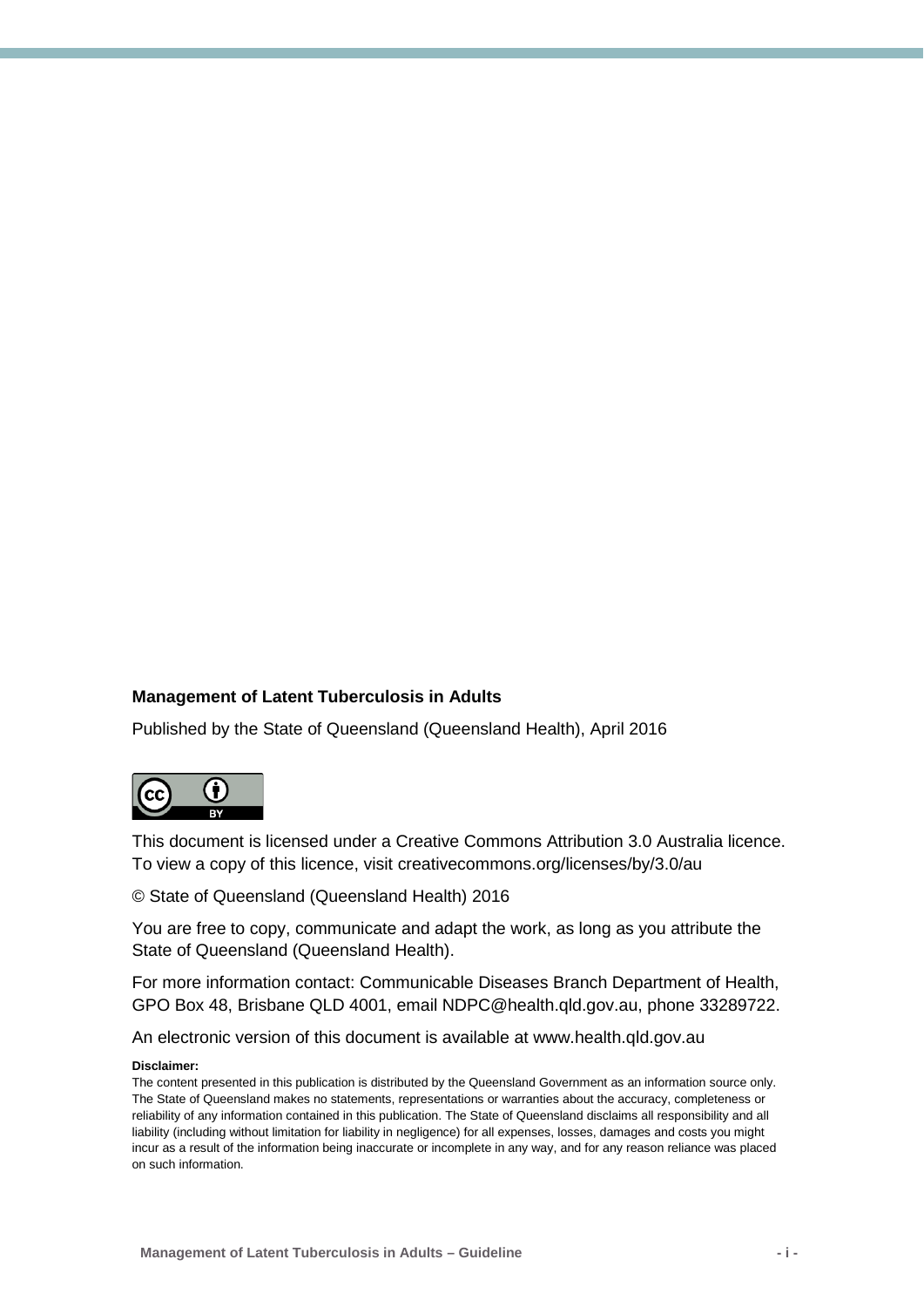#### **Management of Latent Tuberculosis in Adults**

Published by the State of Queensland (Queensland Health), April 2016



This document is licensed under a Creative Commons Attribution 3.0 Australia licence. To view a copy of this licence, visit creativecommons.org/licenses/by/3.0/au

© State of Queensland (Queensland Health) 2016

You are free to copy, communicate and adapt the work, as long as you attribute the State of Queensland (Queensland Health).

For more information contact: Communicable Diseases Branch Department of Health, GPO Box 48, Brisbane QLD 4001, email NDPC@health.qld.gov.au, phone 33289722.

An electronic version of this document is available at www.health.qld.gov.au

#### **Disclaimer:**

The content presented in this publication is distributed by the Queensland Government as an information source only. The State of Queensland makes no statements, representations or warranties about the accuracy, completeness or reliability of any information contained in this publication. The State of Queensland disclaims all responsibility and all liability (including without limitation for liability in negligence) for all expenses, losses, damages and costs you might incur as a result of the information being inaccurate or incomplete in any way, and for any reason reliance was placed on such information.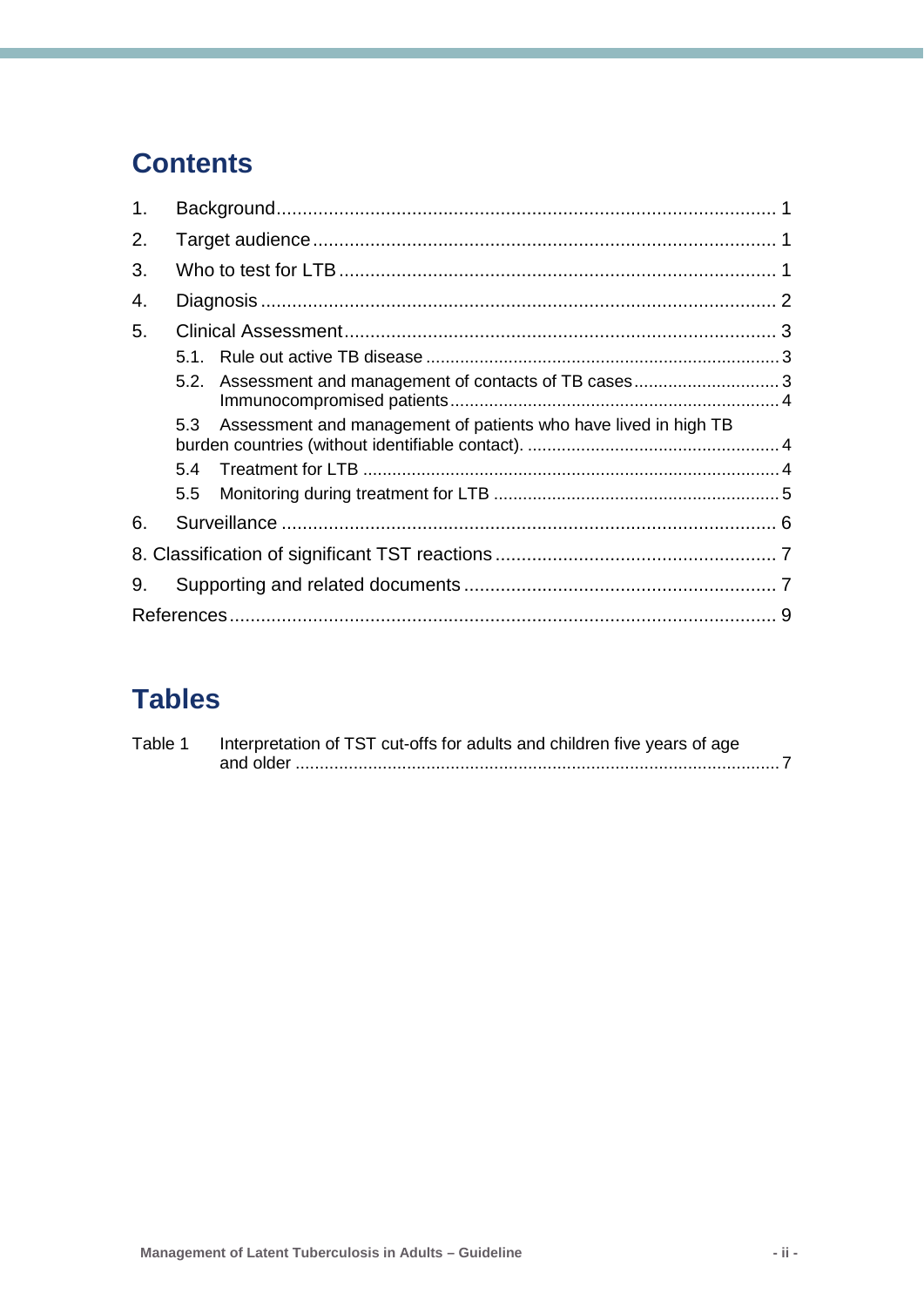## **Contents**

| 1. |     |                                                                 |  |  |  |
|----|-----|-----------------------------------------------------------------|--|--|--|
| 2. |     |                                                                 |  |  |  |
| 3. |     |                                                                 |  |  |  |
| 4. |     |                                                                 |  |  |  |
| 5. |     |                                                                 |  |  |  |
|    |     |                                                                 |  |  |  |
|    |     | 5.2. Assessment and management of contacts of TB cases3         |  |  |  |
|    | 5.3 | Assessment and management of patients who have lived in high TB |  |  |  |
|    | 5.4 |                                                                 |  |  |  |
|    | 5.5 |                                                                 |  |  |  |
| 6. |     |                                                                 |  |  |  |
|    |     |                                                                 |  |  |  |
| 9. |     |                                                                 |  |  |  |
|    |     |                                                                 |  |  |  |

## **Tables**

| Table 1 | Interpretation of TST cut-offs for adults and children five years of age |
|---------|--------------------------------------------------------------------------|
|         |                                                                          |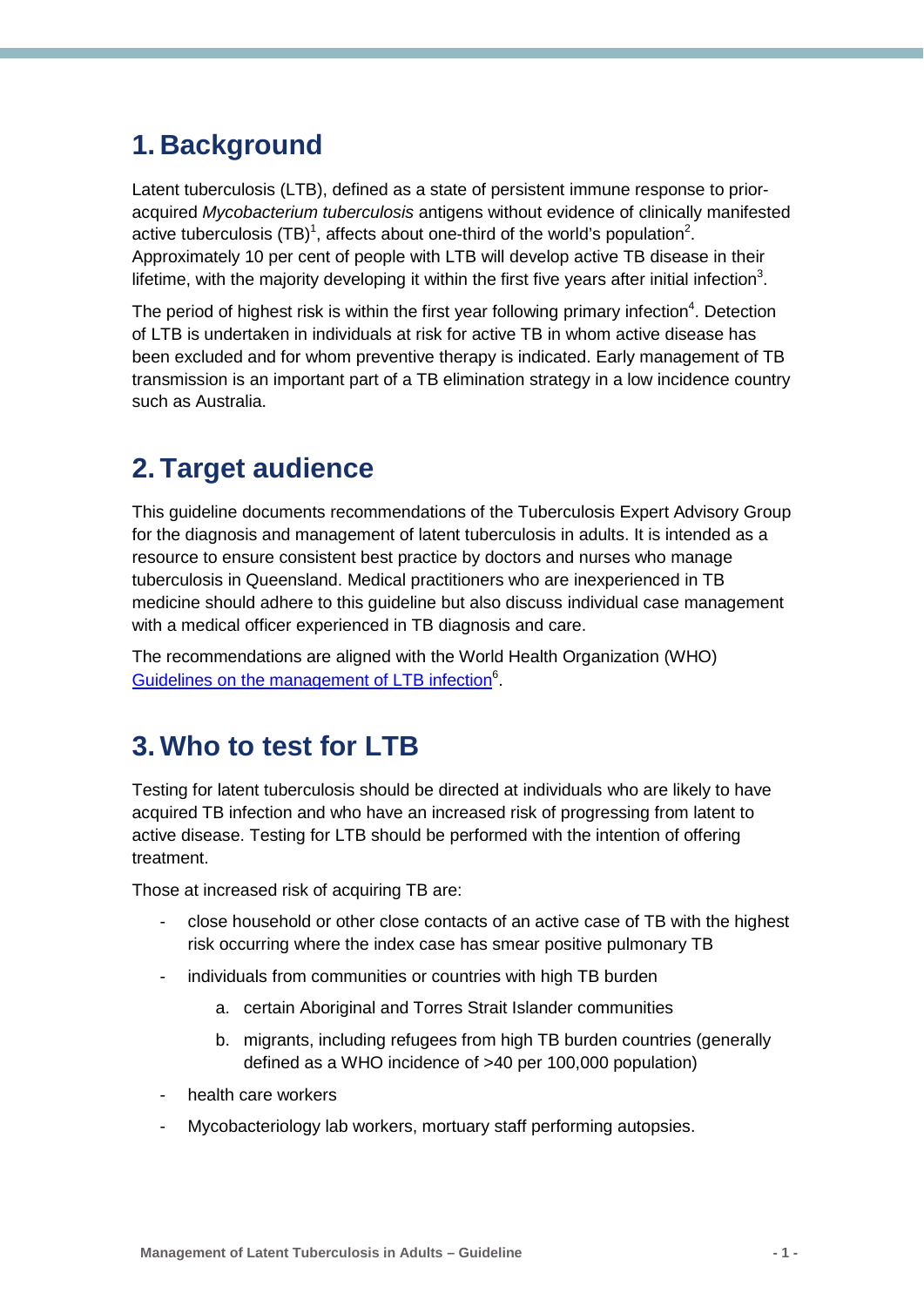### <span id="page-3-0"></span>**1. Background**

Latent tuberculosis (LTB), defined as a state of persistent immune response to prioracquired *Mycobacterium tuberculosis* antigens without evidence of clinically manifested active tuberculosis (TB)<sup>[1](#page-11-1)</sup>, affects about one-third of the world's population<sup>[2](#page-11-2)</sup>. Approximately 10 per cent of people with LTB will develop active TB disease in their lifetime, with the majority developing it within the first five years after initial infection<sup>3</sup>.

The period of highest risk is within the first year following primary infection<sup>[4](#page-11-4)</sup>. Detection of LTB is undertaken in individuals at risk for active TB in whom active disease has been excluded and for whom preventive therapy is indicated. Early management of TB transmission is an important part of a TB elimination strategy in a low incidence country such as Australia.

### <span id="page-3-1"></span>**2. Target audience**

This guideline documents recommendations of the Tuberculosis Expert Advisory Group for the diagnosis and management of latent tuberculosis in adults. It is intended as a resource to ensure consistent best practice by doctors and nurses who manage tuberculosis in Queensland. Medical practitioners who are inexperienced in TB medicine should adhere to this guideline but also discuss individual case management with a medical officer experienced in TB diagnosis and care.

The recommendations are aligned with the World Health Organization (WHO) Guidelines on the management of LTB infection<sup>6</sup>.

### <span id="page-3-2"></span>**3. Who to test for LTB**

Testing for latent tuberculosis should be directed at individuals who are likely to have acquired TB infection and who have an increased risk of progressing from latent to active disease. Testing for LTB should be performed with the intention of offering treatment.

Those at increased risk of acquiring TB are:

- close household or other close contacts of an active case of TB with the highest risk occurring where the index case has smear positive pulmonary TB
- individuals from communities or countries with high TB burden
	- a. certain Aboriginal and Torres Strait Islander communities
	- b. migrants, including refugees from high TB burden countries (generally defined as a WHO incidence of >40 per 100,000 population)
- health care workers
- Mycobacteriology lab workers, mortuary staff performing autopsies.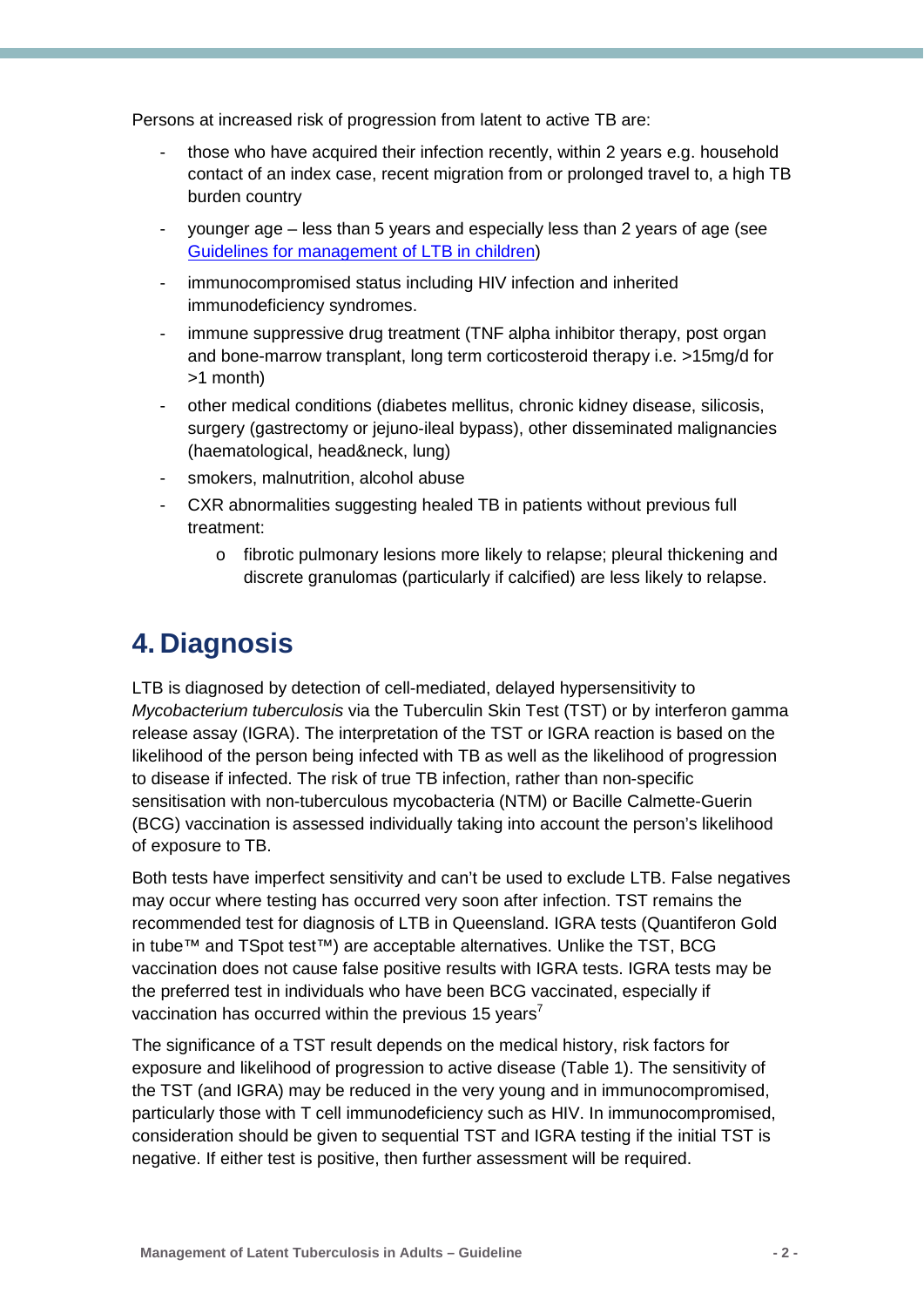Persons at increased risk of progression from latent to active TB are:

- those who have acquired their infection recently, within 2 years e.g. household contact of an index case, recent migration from or prolonged travel to, a high TB burden country
- younger age less than 5 years and especially less than 2 years of age (see [Guidelines for management of LTB in children\)](https://www.health.qld.gov.au/publications/clinical-practice/guidelines-procedures/diseases-infection/governance/latent-tb-adult.pdf)
- immunocompromised status including HIV infection and inherited immunodeficiency syndromes.
- immune suppressive drug treatment (TNF alpha inhibitor therapy, post organ and bone-marrow transplant, long term corticosteroid therapy i.e. >15mg/d for >1 month)
- other medical conditions (diabetes mellitus, chronic kidney disease, silicosis, surgery (gastrectomy or jejuno-ileal bypass), other disseminated malignancies (haematological, head&neck, lung)
- smokers, malnutrition, alcohol abuse
- CXR abnormalities suggesting healed TB in patients without previous full treatment:
	- o fibrotic pulmonary lesions more likely to relapse; pleural thickening and discrete granulomas (particularly if calcified) are less likely to relapse.

### <span id="page-4-0"></span>**4. Diagnosis**

LTB is diagnosed by detection of cell-mediated, delayed hypersensitivity to *Mycobacterium tuberculosis* via the Tuberculin Skin Test (TST) or by interferon gamma release assay (IGRA). The interpretation of the TST or IGRA reaction is based on the likelihood of the person being infected with TB as well as the likelihood of progression to disease if infected. The risk of true TB infection, rather than non-specific sensitisation with non-tuberculous mycobacteria (NTM) or Bacille Calmette-Guerin (BCG) vaccination is assessed individually taking into account the person's likelihood of exposure to TB.

Both tests have imperfect sensitivity and can't be used to exclude LTB. False negatives may occur where testing has occurred very soon after infection. TST remains the recommended test for diagnosis of LTB in Queensland. IGRA tests (Quantiferon Gold in tube™ and TSpot test™) are acceptable alternatives. Unlike the TST, BCG vaccination does not cause false positive results with IGRA tests. IGRA tests may be the preferred test in individuals who have been BCG vaccinated, especially if vaccination has occurred within the previous 15 years<sup>7</sup>

The significance of a TST result depends on the medical history, risk factors for exposure and likelihood of progression to active disease (Table 1). The sensitivity of the TST (and IGRA) may be reduced in the very young and in immunocompromised, particularly those with T cell immunodeficiency such as HIV. In immunocompromised, consideration should be given to sequential TST and IGRA testing if the initial TST is negative. If either test is positive, then further assessment will be required.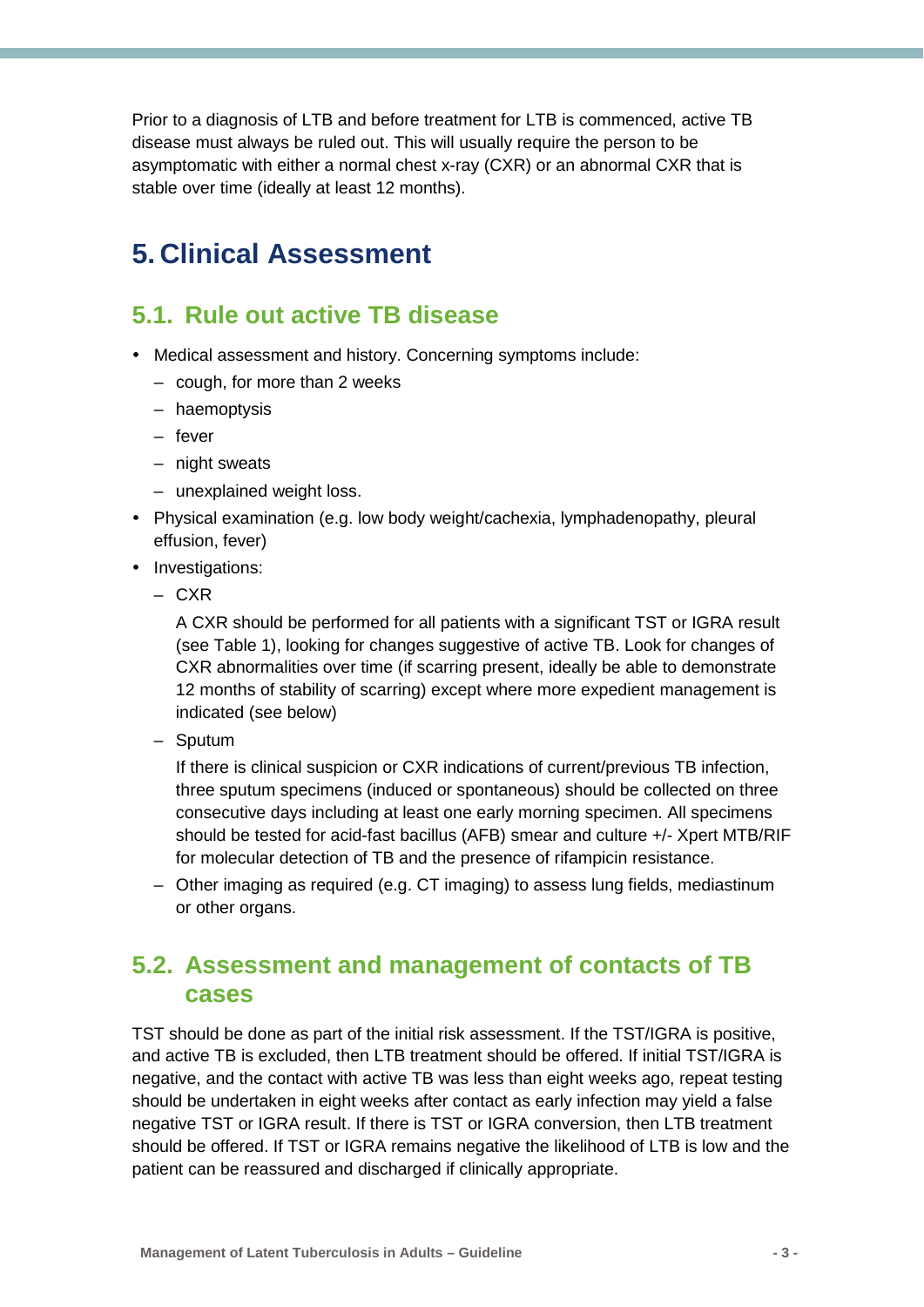Prior to a diagnosis of LTB and before treatment for LTB is commenced, active TB disease must always be ruled out. This will usually require the person to be asymptomatic with either a normal chest x-ray (CXR) or an abnormal CXR that is stable over time (ideally at least 12 months).

### <span id="page-5-0"></span>**5. Clinical Assessment**

#### <span id="page-5-1"></span>**5.1. Rule out active TB disease**

- Medical assessment and history. Concerning symptoms include:
	- cough, for more than 2 weeks
	- haemoptysis
	- fever
	- night sweats
	- unexplained weight loss.
- Physical examination (e.g. low body weight/cachexia, lymphadenopathy, pleural effusion, fever)
- Investigations:
	- CXR

A CXR should be performed for all patients with a significant TST or IGRA result (see Table 1), looking for changes suggestive of active TB. Look for changes of CXR abnormalities over time (if scarring present, ideally be able to demonstrate 12 months of stability of scarring) except where more expedient management is indicated (see below)

– Sputum

If there is clinical suspicion or CXR indications of current/previous TB infection, three sputum specimens (induced or spontaneous) should be collected on three consecutive days including at least one early morning specimen. All specimens should be tested for acid-fast bacillus (AFB) smear and culture +/- Xpert MTB/RIF for molecular detection of TB and the presence of rifampicin resistance.

– Other imaging as required (e.g. CT imaging) to assess lung fields, mediastinum or other organs.

#### <span id="page-5-2"></span>**5.2. Assessment and management of contacts of TB cases**

TST should be done as part of the initial risk assessment. If the TST/IGRA is positive, and active TB is excluded, then LTB treatment should be offered. If initial TST/IGRA is negative, and the contact with active TB was less than eight weeks ago, repeat testing should be undertaken in eight weeks after contact as early infection may yield a false negative TST or IGRA result. If there is TST or IGRA conversion, then LTB treatment should be offered. If TST or IGRA remains negative the likelihood of LTB is low and the patient can be reassured and discharged if clinically appropriate.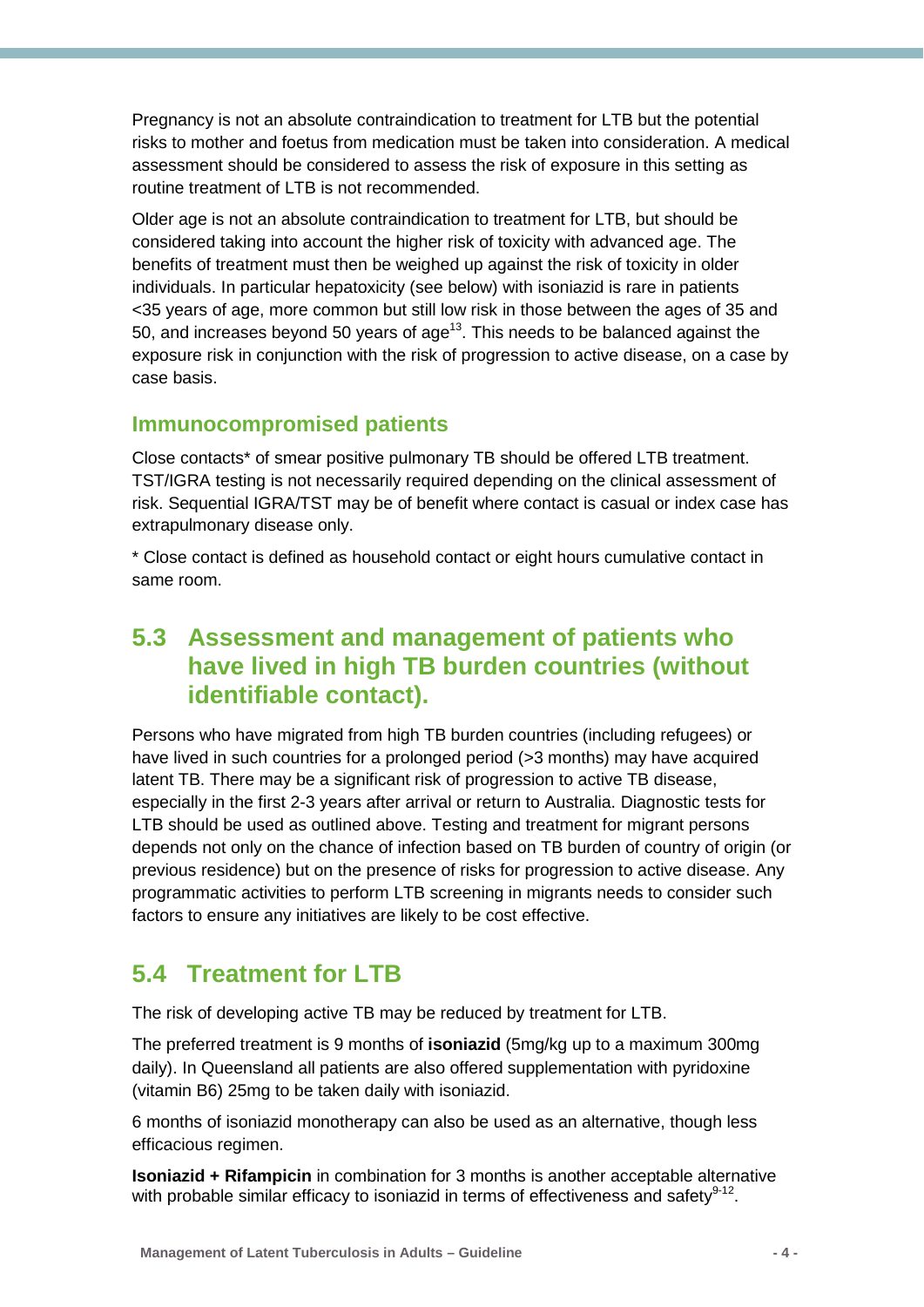Pregnancy is not an absolute contraindication to treatment for LTB but the potential risks to mother and foetus from medication must be taken into consideration. A medical assessment should be considered to assess the risk of exposure in this setting as routine treatment of LTB is not recommended.

Older age is not an absolute contraindication to treatment for LTB, but should be considered taking into account the higher risk of toxicity with advanced age. The benefits of treatment must then be weighed up against the risk of toxicity in older individuals. In particular hepatoxicity (see below) with isoniazid is rare in patients <35 years of age, more common but still low risk in those between the ages of 35 and 50, and increases beyond 50 years of  $age^{13}$ . This needs to be balanced against the exposure risk in conjunction with the risk of progression to active disease, on a case by case basis.

#### <span id="page-6-0"></span>**Immunocompromised patients**

Close contacts\* of smear positive pulmonary TB should be offered LTB treatment. TST/IGRA testing is not necessarily required depending on the clinical assessment of risk. Sequential IGRA/TST may be of benefit where contact is casual or index case has extrapulmonary disease only.

\* Close contact is defined as household contact or eight hours cumulative contact in same room.

### <span id="page-6-1"></span>**5.3 Assessment and management of patients who have lived in high TB burden countries (without identifiable contact).**

Persons who have migrated from high TB burden countries (including refugees) or have lived in such countries for a prolonged period (>3 months) may have acquired latent TB. There may be a significant risk of progression to active TB disease, especially in the first 2-3 years after arrival or return to Australia. Diagnostic tests for LTB should be used as outlined above. Testing and treatment for migrant persons depends not only on the chance of infection based on TB burden of country of origin (or previous residence) but on the presence of risks for progression to active disease. Any programmatic activities to perform LTB screening in migrants needs to consider such factors to ensure any initiatives are likely to be cost effective.

### <span id="page-6-2"></span>**5.4 Treatment for LTB**

The risk of developing active TB may be reduced by treatment for LTB.

The preferred treatment is 9 months of **isoniazid** (5mg/kg up to a maximum 300mg daily). In Queensland all patients are also offered supplementation with pyridoxine (vitamin B6) 25mg to be taken daily with isoniazid.

6 months of isoniazid monotherapy can also be used as an alternative, though less efficacious regimen.

**Isoniazid + Rifampicin** in combination for 3 months is another acceptable alternative with probable similar efficacy to isoniazid in terms of effectiveness and safety $9-12$ .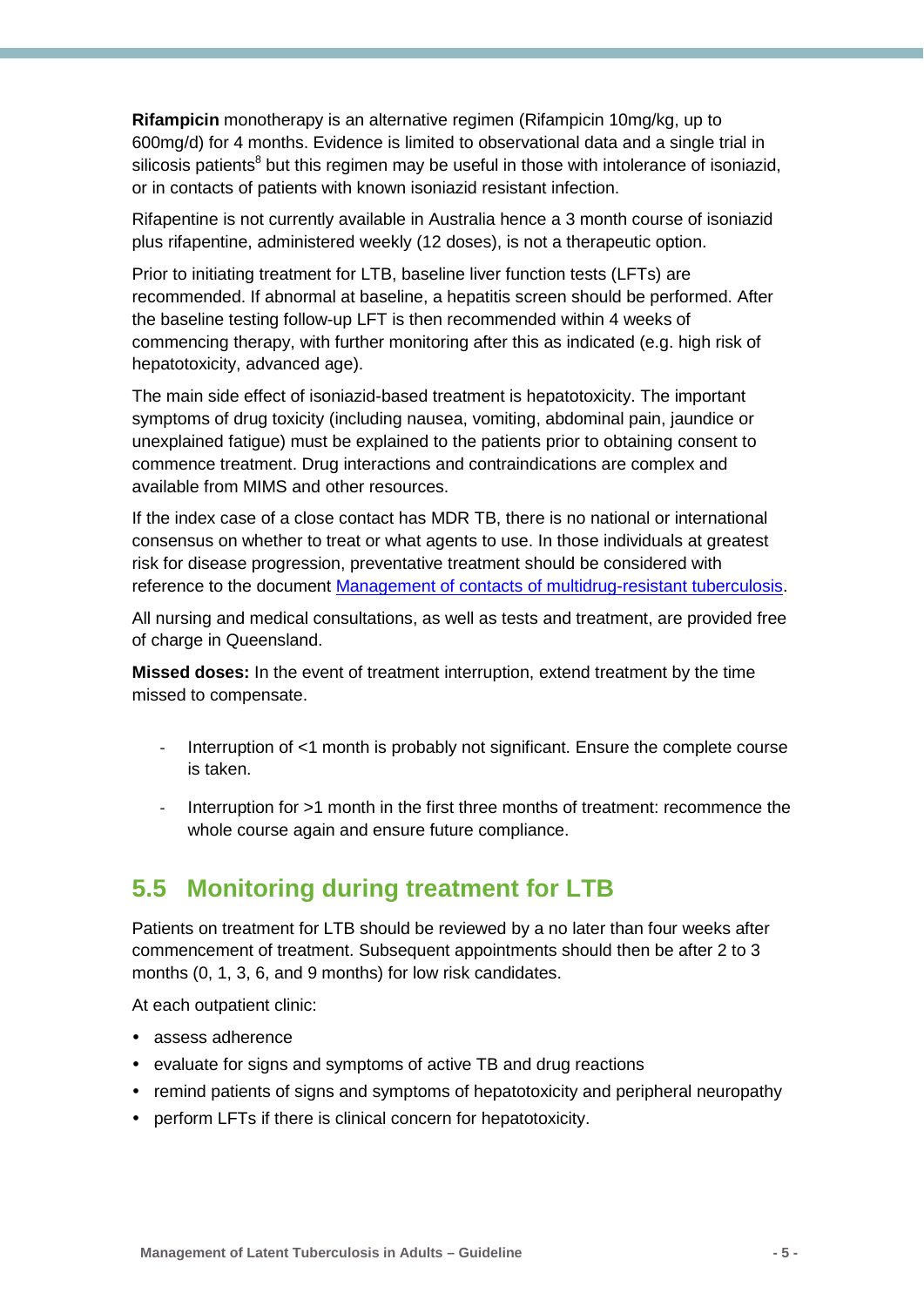**Rifampicin** monotherapy is an alternative regimen (Rifampicin 10mg/kg, up to 600mg/d) for 4 months. Evidence is limited to observational data and a single trial in silicosis patients<sup>8</sup> but this regimen may be useful in those with intolerance of isoniazid, or in contacts of patients with known isoniazid resistant infection.

Rifapentine is not currently available in Australia hence a 3 month course of isoniazid plus rifapentine, administered weekly (12 doses), is not a therapeutic option.

Prior to initiating treatment for LTB, baseline liver function tests (LFTs) are recommended. If abnormal at baseline, a hepatitis screen should be performed. After the baseline testing follow-up LFT is then recommended within 4 weeks of commencing therapy, with further monitoring after this as indicated (e.g. high risk of hepatotoxicity, advanced age).

The main side effect of isoniazid-based treatment is hepatotoxicity. The important symptoms of drug toxicity (including nausea, vomiting, abdominal pain, jaundice or unexplained fatigue) must be explained to the patients prior to obtaining consent to commence treatment. Drug interactions and contraindications are complex and available from MIMS and other resources.

If the index case of a close contact has MDR TB, there is no national or international consensus on whether to treat or what agents to use. In those individuals at greatest risk for disease progression, preventative treatment should be considered with reference to the document [Management of contacts of multidrug-resistant tuberculosis.](https://www.health.qld.gov.au/publications/clinical-practice/guidelines-procedures/diseases-infection/governance/mdr-tuberculosis-contacts.pdf)

All nursing and medical consultations, as well as tests and treatment, are provided free of charge in Queensland.

**Missed doses:** In the event of treatment interruption, extend treatment by the time missed to compensate.

- Interruption of <1 month is probably not significant. Ensure the complete course is taken.
- Interruption for >1 month in the first three months of treatment: recommence the whole course again and ensure future compliance.

### <span id="page-7-0"></span>**5.5 Monitoring during treatment for LTB**

Patients on treatment for LTB should be reviewed by a no later than four weeks after commencement of treatment. Subsequent appointments should then be after 2 to 3 months (0, 1, 3, 6, and 9 months) for low risk candidates.

At each outpatient clinic:

- assess adherence
- evaluate for signs and symptoms of active TB and drug reactions
- remind patients of signs and symptoms of hepatotoxicity and peripheral neuropathy
- perform LFTs if there is clinical concern for hepatotoxicity.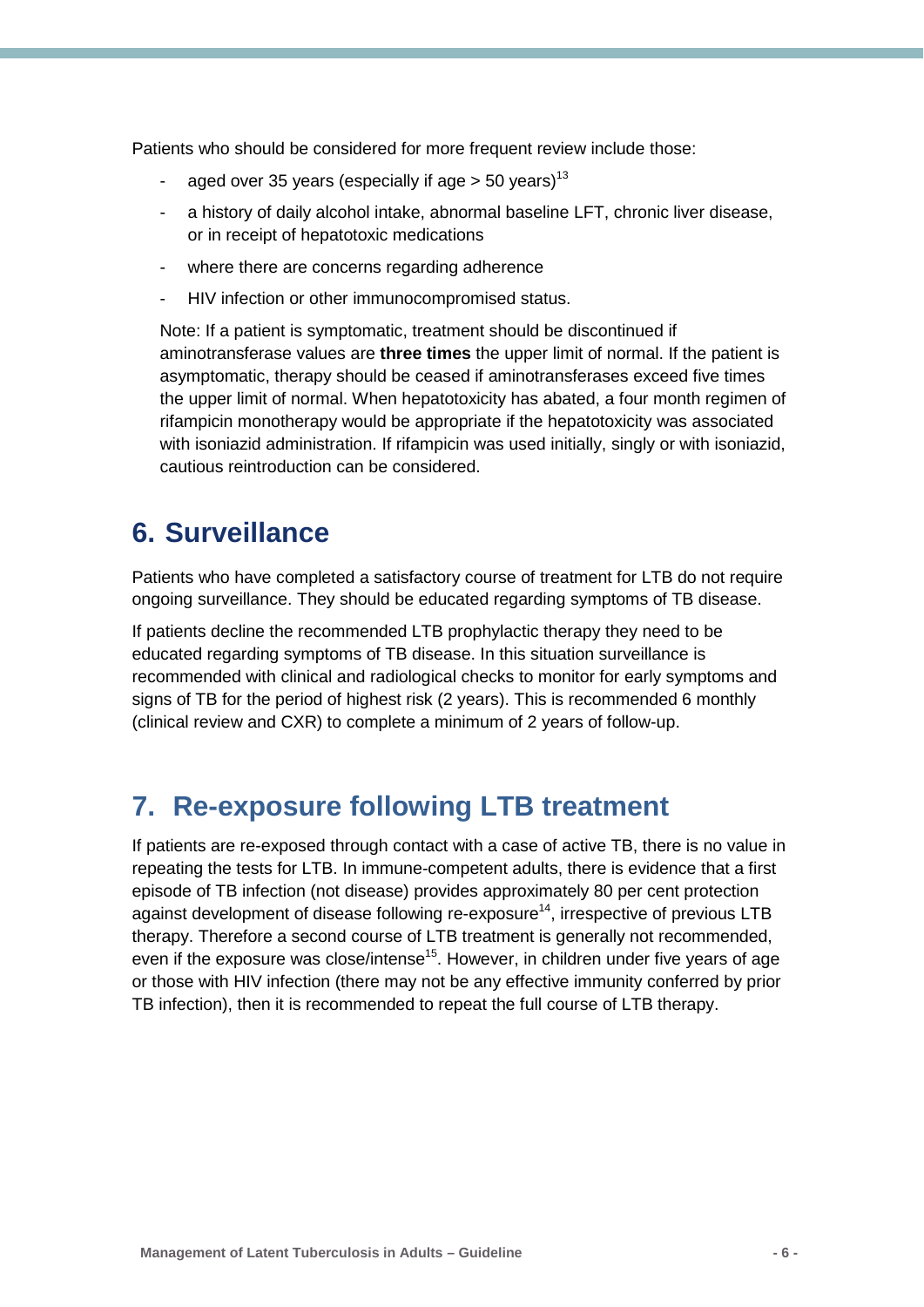Patients who should be considered for more frequent review include those:

- aged over 35 years (especially if age  $>$  50 years)<sup>13</sup>
- a history of daily alcohol intake, abnormal baseline LFT, chronic liver disease, or in receipt of hepatotoxic medications
- where there are concerns regarding adherence
- HIV infection or other immunocompromised status.

Note: If a patient is symptomatic, treatment should be discontinued if aminotransferase values are **three times** the upper limit of normal. If the patient is asymptomatic, therapy should be ceased if aminotransferases exceed five times the upper limit of normal. When hepatotoxicity has abated, a four month regimen of rifampicin monotherapy would be appropriate if the hepatotoxicity was associated with isoniazid administration. If rifampicin was used initially, singly or with isoniazid, cautious reintroduction can be considered.

### <span id="page-8-0"></span>**6. Surveillance**

Patients who have completed a satisfactory course of treatment for LTB do not require ongoing surveillance. They should be educated regarding symptoms of TB disease.

If patients decline the recommended LTB prophylactic therapy they need to be educated regarding symptoms of TB disease. In this situation surveillance is recommended with clinical and radiological checks to monitor for early symptoms and signs of TB for the period of highest risk (2 years). This is recommended 6 monthly (clinical review and CXR) to complete a minimum of 2 years of follow-up.

### **7. Re-exposure following LTB treatment**

If patients are re-exposed through contact with a case of active TB, there is no value in repeating the tests for LTB. In immune-competent adults, there is evidence that a first episode of TB infection (not disease) provides approximately 80 per cent protection against development of disease following re-exposure<sup>14</sup>, irrespective of previous LTB therapy. Therefore a second course of LTB treatment is generally not recommended, even if the exposure was close/intense<sup>15</sup>. However, in children under five years of age or those with HIV infection (there may not be any effective immunity conferred by prior TB infection), then it is recommended to repeat the full course of LTB therapy.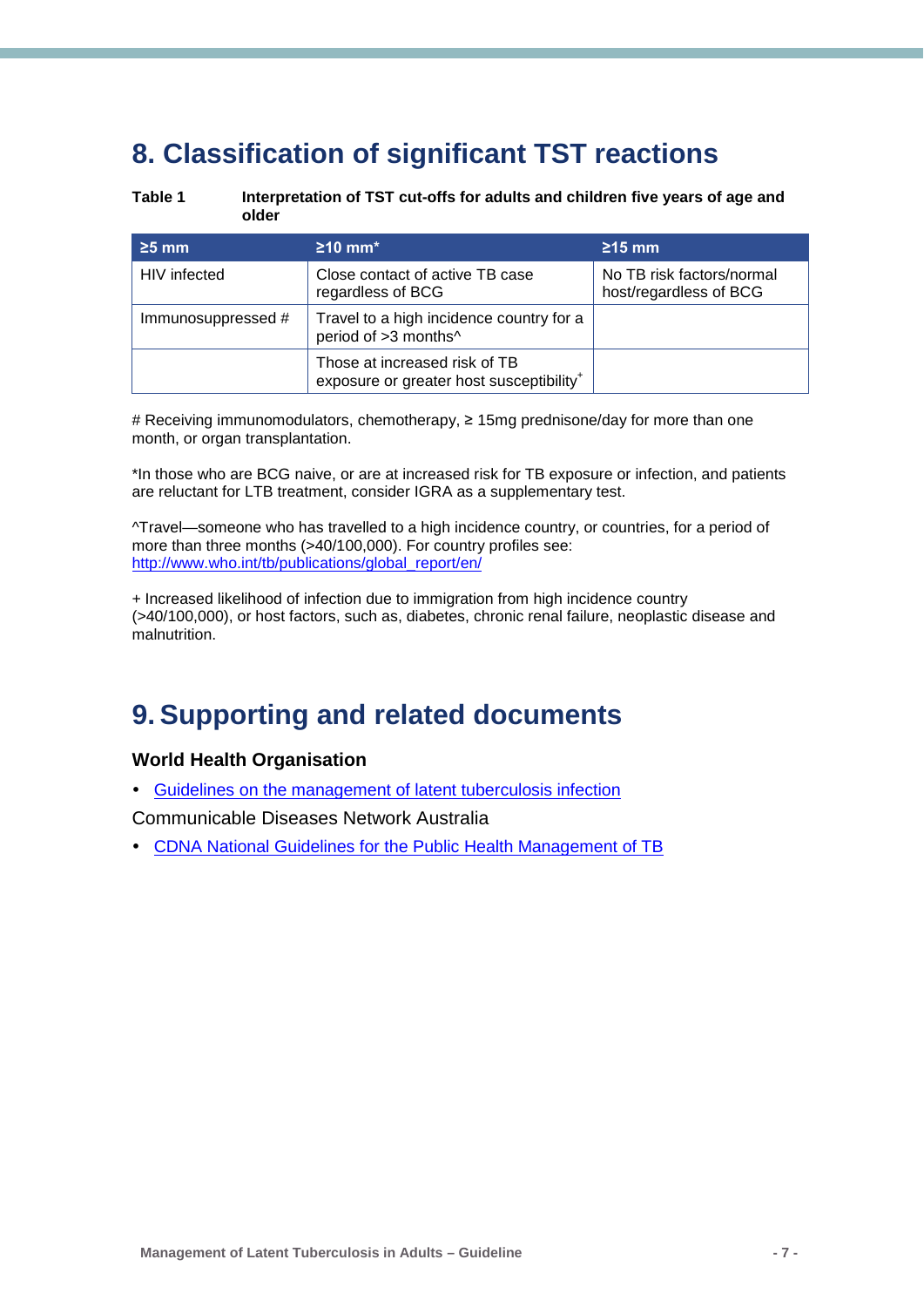## <span id="page-9-0"></span>**8. Classification of significant TST reactions**

<span id="page-9-2"></span>

**Table 1 Interpretation of TST cut-offs for adults and children five years of age and older**

| $\geq$ 5 mm        | $\geq$ 10 mm <sup>*</sup>                                                             | $\geq$ 15 mm                                        |
|--------------------|---------------------------------------------------------------------------------------|-----------------------------------------------------|
| HIV infected       | Close contact of active TB case<br>regardless of BCG                                  | No TB risk factors/normal<br>host/regardless of BCG |
| Immunosuppressed # | Travel to a high incidence country for a<br>period of >3 months^                      |                                                     |
|                    | Those at increased risk of TB<br>exposure or greater host susceptibility <sup>+</sup> |                                                     |

# Receiving immunomodulators, chemotherapy, ≥ 15mg prednisone/day for more than one month, or organ transplantation.

\*In those who are BCG naive, or are at increased risk for TB exposure or infection, and patients are reluctant for LTB treatment, consider IGRA as a supplementary test.

^Travel—someone who has travelled to a high incidence country, or countries, for a period of more than three months (>40/100,000). For country profiles see: [http://www.who.int/tb/publications/global\\_report/en/](http://www.who.int/tb/publications/global_report/en/) 

+ Increased likelihood of infection due to immigration from high incidence country (>40/100,000), or host factors, such as, diabetes, chronic renal failure, neoplastic disease and malnutrition.

### <span id="page-9-1"></span>**9. Supporting and related documents**

#### **World Health Organisation**

[Guidelines on the management of latent tuberculosis infection](http://apps.who.int/iris/bitstream/10665/136471/1/9789241548908_eng.pdf?ua=1&ua=1)

Communicable Diseases Network Australia

[CDNA National Guidelines for the Public Health Management of TB](http://www.health.gov.au/internet/main/publishing.nsf/Content/D140EDF48C0A0CEACA257BF0001A3537/$File/TB-SoNG-July-2013.pdf)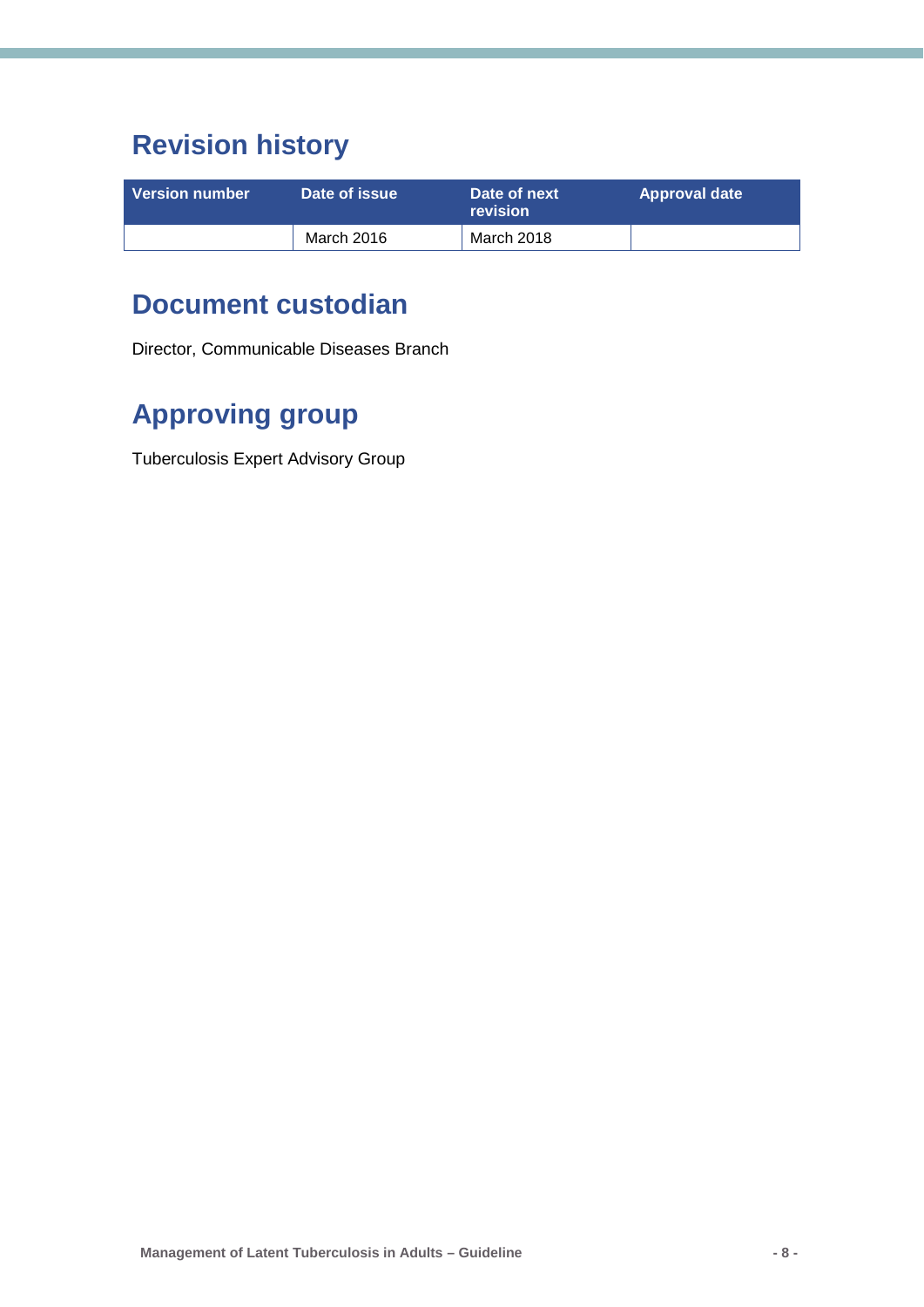## **Revision history**

| <b>Version number</b> | Date of issue | Date of next<br><b>revision</b> | <b>Approval date</b> |
|-----------------------|---------------|---------------------------------|----------------------|
|                       | March 2016    | March 2018                      |                      |

### **Document custodian**

Director, Communicable Diseases Branch

## **Approving group**

Tuberculosis Expert Advisory Group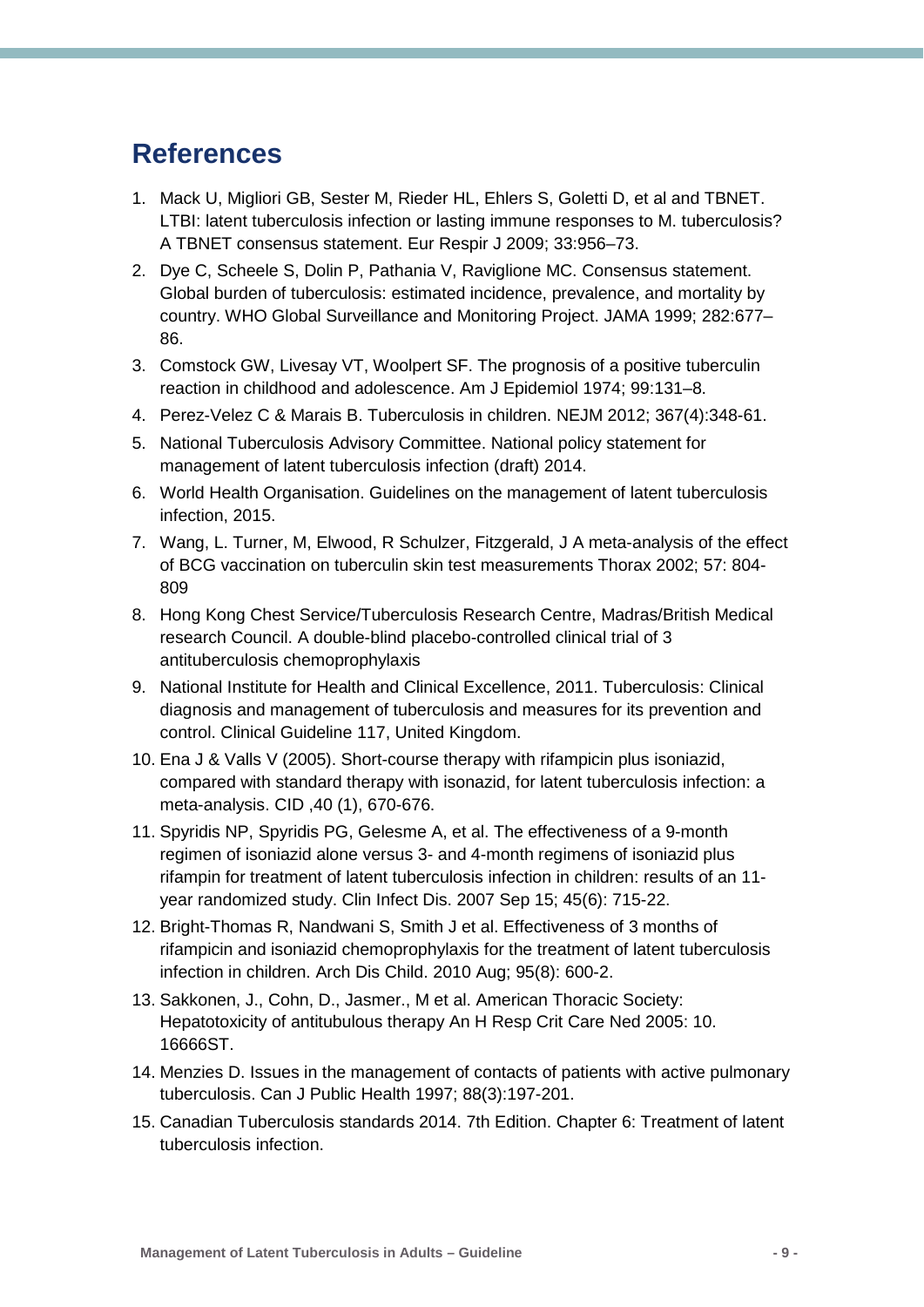### <span id="page-11-0"></span>**References**

- <span id="page-11-1"></span>1. Mack U, Migliori GB, Sester M, Rieder HL, Ehlers S, Goletti D, et al and TBNET. LTBI: latent tuberculosis infection or lasting immune responses to M. tuberculosis? A TBNET consensus statement. Eur Respir J 2009; 33:956–73.
- <span id="page-11-2"></span>2. Dye C, Scheele S, Dolin P, Pathania V, Raviglione MC. Consensus statement. Global burden of tuberculosis: estimated incidence, prevalence, and mortality by country. WHO Global Surveillance and Monitoring Project. JAMA 1999; 282:677– 86.
- <span id="page-11-3"></span>3. Comstock GW, Livesay VT, Woolpert SF. The prognosis of a positive tuberculin reaction in childhood and adolescence. Am J Epidemiol 1974; 99:131–8.
- <span id="page-11-4"></span>4. Perez-Velez C & Marais B. Tuberculosis in children. NEJM 2012; 367(4):348-61.
- 5. National Tuberculosis Advisory Committee. National policy statement for management of latent tuberculosis infection (draft) 2014.
- 6. World Health Organisation. Guidelines on the management of latent tuberculosis infection, 2015.
- 7. Wang, L. Turner, M, Elwood, R Schulzer, Fitzgerald, J A meta-analysis of the effect of BCG vaccination on tuberculin skin test measurements Thorax 2002; 57: 804- 809
- 8. Hong Kong Chest Service/Tuberculosis Research Centre, Madras/British Medical research Council. A double-blind placebo-controlled clinical trial of 3 antituberculosis chemoprophylaxis
- 9. National Institute for Health and Clinical Excellence, 2011. Tuberculosis: Clinical diagnosis and management of tuberculosis and measures for its prevention and control. Clinical Guideline 117, United Kingdom.
- 10. Ena J & Valls V (2005). Short-course therapy with rifampicin plus isoniazid, compared with standard therapy with isonazid, for latent tuberculosis infection: a meta-analysis. CID ,40 (1), 670-676.
- 11. Spyridis NP, Spyridis PG, Gelesme A, et al. [The effectiveness of a 9-month](http://www.ncbi.nlm.nih.gov/pubmed/17712755)  regimen of isoniazid alone versus 3- [and 4-month regimens of isoniazid plus](http://www.ncbi.nlm.nih.gov/pubmed/17712755)  [rifampin for treatment of latent tuberculosis infection in children: results](http://www.ncbi.nlm.nih.gov/pubmed/17712755) of an 11 [year randomized study.](http://www.ncbi.nlm.nih.gov/pubmed/17712755) Clin Infect Dis. 2007 Sep 15; 45(6): 715-22.
- 12. Bright-Thomas R, Nandwani S, Smith J et al. Effectiveness of 3 months of rifampicin and isoniazid chemoprophylaxis for the treatment of latent tuberculosis infection in children. Arch Dis Child. 2010 Aug; 95(8): 600-2.
- 13. Sakkonen, J., Cohn, D., Jasmer., M et al. American Thoracic Society: Hepatotoxicity of antitubulous therapy An H Resp Crit Care Ned 2005: 10. 16666ST.
- <span id="page-11-5"></span>14. Menzies D. Issues in the management of contacts of patients with active pulmonary tuberculosis. Can J Public Health 1997; 88(3):197-201.
- <span id="page-11-6"></span>15. Canadian Tuberculosis standards 2014. 7th Edition. Chapter 6: Treatment of latent tuberculosis infection.